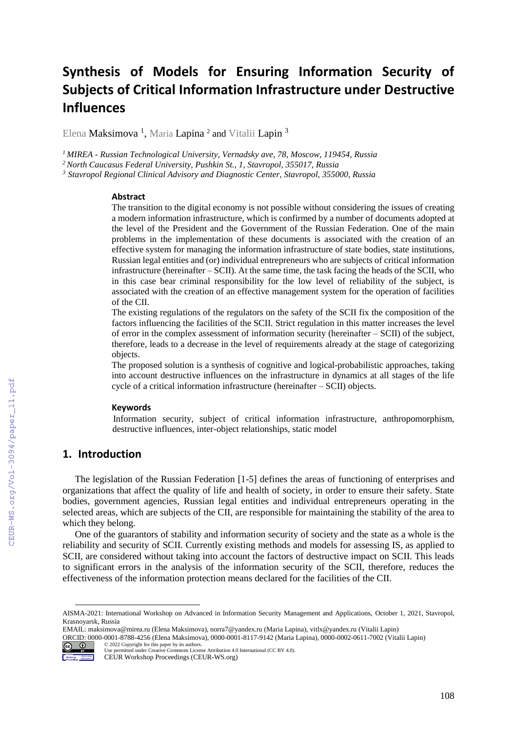# **Synthesis of Models for Ensuring Information Security of Subjects of Critical Information Infrastructure under Destructive Influences**

Elena **Maksimova <sup>1</sup>,** Maria **Lapina <sup>2</sup> and** Vitalii Lapin <sup>3</sup>

*<sup>1</sup>MIREA - Russian Technological University, Vernadsky ave, 78, Moscow, 119454, Russia*

*<sup>2</sup>North Caucasus Federal University, Pushkin St., 1, Stavropol, 355017, Russia*

*<sup>3</sup> Stavropol Regional Clinical Advisory and Diagnostic Center, Stavropol, 355000, Russia*

#### **Abstract**

The transition to the digital economy is not possible without considering the issues of creating a modern information infrastructure, which is confirmed by a number of documents adopted at the level of the President and the Government of the Russian Federation. One of the main problems in the implementation of these documents is associated with the creation of an effective system for managing the information infrastructure of state bodies, state institutions, Russian legal entities and (or) individual entrepreneurs who are subjects of critical information infrastructure (hereinafter – SCII). At the same time, the task facing the heads of the SCII, who in this case bear criminal responsibility for the low level of reliability of the subject, is associated with the creation of an effective management system for the operation of facilities of the CII.

The existing regulations of the regulators on the safety of the SCII fix the composition of the factors influencing the facilities of the SCII. Strict regulation in this matter increases the level of error in the complex assessment of information security (hereinafter – SCII) of the subject, therefore, leads to a decrease in the level of requirements already at the stage of categorizing objects.

The proposed solution is a synthesis of cognitive and logical-probabilistic approaches, taking into account destructive influences on the infrastructure in dynamics at all stages of the life cycle of a critical information infrastructure (hereinafter – SCII) objects.

#### **Keywords**

Information security, subject of critical information infrastructure, anthropomorphism, destructive influences, inter-object relationships, static model

## **1. Introduction**

The legislation of the Russian Federation [1-5] defines the areas of functioning of enterprises and organizations that affect the quality of life and health of society, in order to ensure their safety. State bodies, government agencies, Russian legal entities and individual entrepreneurs operating in the selected areas, which are subjects of the CII, are responsible for maintaining the stability of the area to which they belong.

One of the guarantors of stability and information security of society and the state as a whole is the reliability and security of SCII. Currently existing methods and models for assessing IS, as applied to SCII, are considered without taking into account the factors of destructive impact on SCII. This leads to significant errors in the analysis of the information security of the SCII, therefore, reduces the effectiveness of the information protection means declared for the facilities of the CII.

ORCID: 0000-0001-8788-4256 (Elena Maksimova), 0000-0001-8117-9142 (Maria Lapina), 0000-0002-0611-7002 (Vitalii Lapin) © 2022 Copyright for this paper by its authors.



 $\overline{a}$ 

Use permitted under Creative Commons License Attribution 4.0 International (CC BY 4.0).

AISMA-2021: International Workshop on Advanced in Information Security Management and Applications, October 1, 2021, Stavropol, Krasnoyarsk, Russia

EMAIL: maksimova@mirea.ru (Elena Maksimova), norra7@yandex.ru (Maria Lapina)[, vitlx@yandex.ru](mailto:vitlx@yandex.ru) (Vitalii Lapin)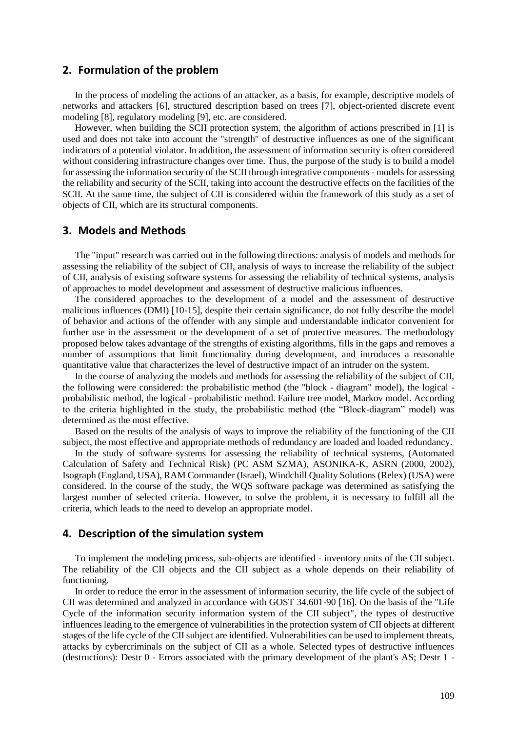#### **2. Formulation of the problem**

In the process of modeling the actions of an attacker, as a basis, for example, descriptive models of networks and attackers [6], structured description based on trees [7], object-oriented discrete event modeling [8], regulatory modeling [9], etc. are considered.

However, when building the SCII protection system, the algorithm of actions prescribed in [1] is used and does not take into account the "strength" of destructive influences as one of the significant indicators of a potential violator. In addition, the assessment of information security is often considered without considering infrastructure changes over time. Thus, the purpose of the study is to build a model for assessing the information security of the SCII through integrative components - models for assessing the reliability and security of the SCII, taking into account the destructive effects on the facilities of the SCII. At the same time, the subject of CII is considered within the framework of this study as a set of objects of CII, which are its structural components.

### **3. Models and Methods**

The "input" research was carried out in the following directions: analysis of models and methods for assessing the reliability of the subject of CII, analysis of ways to increase the reliability of the subject of CII, analysis of existing software systems for assessing the reliability of technical systems, analysis of approaches to model development and assessment of destructive malicious influences.

The considered approaches to the development of a model and the assessment of destructive malicious influences (DMI) [10-15], despite their certain significance, do not fully describe the model of behavior and actions of the offender with any simple and understandable indicator convenient for further use in the assessment or the development of a set of protective measures. The methodology proposed below takes advantage of the strengths of existing algorithms, fills in the gaps and removes a number of assumptions that limit functionality during development, and introduces a reasonable quantitative value that characterizes the level of destructive impact of an intruder on the system.

In the course of analyzing the models and methods for assessing the reliability of the subject of CII, the following were considered: the probabilistic method (the "block - diagram" model), the logical probabilistic method, the logical - probabilistic method. Failure tree model, Markov model. According to the criteria highlighted in the study, the probabilistic method (the "Block-diagram" model) was determined as the most effective.

Based on the results of the analysis of ways to improve the reliability of the functioning of the CII subject, the most effective and appropriate methods of redundancy are loaded and loaded redundancy.

In the study of software systems for assessing the reliability of technical systems, (Automated Calculation of Safety and Technical Risk) (PC ASM SZMA), ASONIKA-K, ASRN (2000, 2002), Isograph (England, USA), RAM Commander (Israel), Windchill Quality Solutions (Relex) (USA) were considered. In the course of the study, the WQS software package was determined as satisfying the largest number of selected criteria. However, to solve the problem, it is necessary to fulfill all the criteria, which leads to the need to develop an appropriate model.

#### **4. Description of the simulation system**

To implement the modeling process, sub-objects are identified - inventory units of the CII subject. The reliability of the CII objects and the CII subject as a whole depends on their reliability of functioning.

In order to reduce the error in the assessment of information security, the life cycle of the subject of CII was determined and analyzed in accordance with GOST 34.601-90 [16]. On the basis of the "Life Cycle of the information security information system of the CII subject", the types of destructive influences leading to the emergence of vulnerabilities in the protection system of CII objects at different stages of the life cycle of the CII subject are identified. Vulnerabilities can be used to implement threats, attacks by cybercriminals on the subject of CII as a whole. Selected types of destructive influences (destructions): Destr 0 - Errors associated with the primary development of the plant's AS; Destr 1 -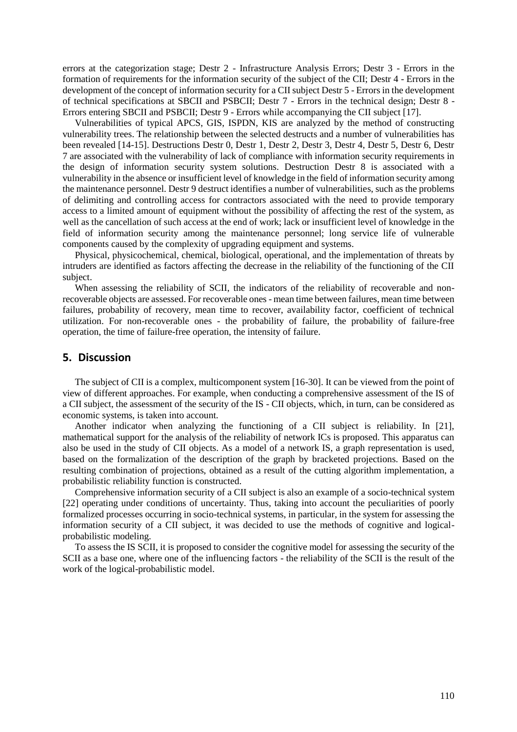errors at the categorization stage; Destr 2 - Infrastructure Analysis Errors; Destr 3 - Errors in the formation of requirements for the information security of the subject of the CII; Destr 4 - Errors in the development of the concept of information security for a CII subject Destr 5 - Errors in the development of technical specifications at SBCII and PSBCII; Destr 7 - Errors in the technical design; Destr 8 - Errors entering SBCII and PSBCII; Destr 9 - Errors while accompanying the CII subject [17].

Vulnerabilities of typical APCS, GIS, ISPDN, KIS are analyzed by the method of constructing vulnerability trees. The relationship between the selected destructs and a number of vulnerabilities has been revealed [14-15]. Destructions Destr 0, Destr 1, Destr 2, Destr 3, Destr 4, Destr 5, Destr 6, Destr 7 are associated with the vulnerability of lack of compliance with information security requirements in the design of information security system solutions. Destruction Destr 8 is associated with a vulnerability in the absence or insufficient level of knowledge in the field of information security among the maintenance personnel. Destr 9 destruct identifies a number of vulnerabilities, such as the problems of delimiting and controlling access for contractors associated with the need to provide temporary access to a limited amount of equipment without the possibility of affecting the rest of the system, as well as the cancellation of such access at the end of work; lack or insufficient level of knowledge in the field of information security among the maintenance personnel; long service life of vulnerable components caused by the complexity of upgrading equipment and systems.

Physical, physicochemical, chemical, biological, operational, and the implementation of threats by intruders are identified as factors affecting the decrease in the reliability of the functioning of the CII subject.

When assessing the reliability of SCII, the indicators of the reliability of recoverable and nonrecoverable objects are assessed. For recoverable ones - mean time between failures, mean time between failures, probability of recovery, mean time to recover, availability factor, coefficient of technical utilization. For non-recoverable ones - the probability of failure, the probability of failure-free operation, the time of failure-free operation, the intensity of failure.

### **5. Discussion**

The subject of CII is a complex, multicomponent system [16-30]. It can be viewed from the point of view of different approaches. For example, when conducting a comprehensive assessment of the IS of a CII subject, the assessment of the security of the IS - CII objects, which, in turn, can be considered as economic systems, is taken into account.

Another indicator when analyzing the functioning of a CII subject is reliability. In [21], mathematical support for the analysis of the reliability of network ICs is proposed. This apparatus can also be used in the study of CII objects. As a model of a network IS, a graph representation is used, based on the formalization of the description of the graph by bracketed projections. Based on the resulting combination of projections, obtained as a result of the cutting algorithm implementation, a probabilistic reliability function is constructed.

Comprehensive information security of a CII subject is also an example of a socio-technical system [22] operating under conditions of uncertainty. Thus, taking into account the peculiarities of poorly formalized processes occurring in socio-technical systems, in particular, in the system for assessing the information security of a CII subject, it was decided to use the methods of cognitive and logicalprobabilistic modeling.

To assess the IS SCII, it is proposed to consider the cognitive model for assessing the security of the SCII as a base one, where one of the influencing factors - the reliability of the SCII is the result of the work of the logical-probabilistic model.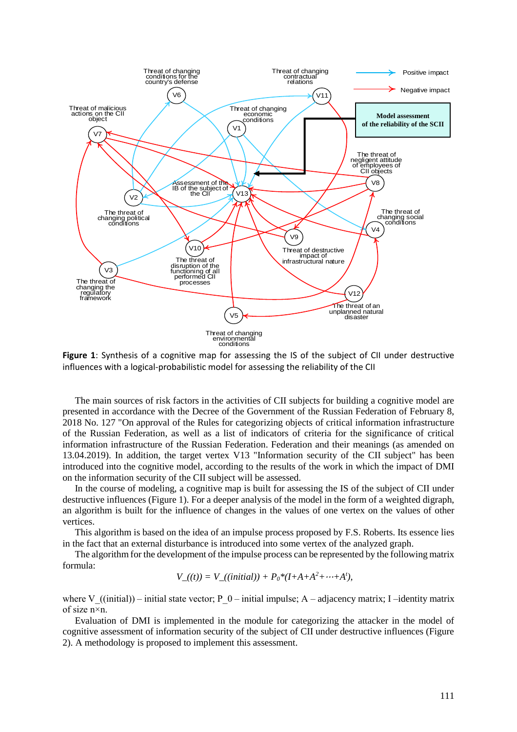

**Figure 1**: Synthesis of a cognitive map for assessing the IS of the subject of CII under destructive influences with a logical-probabilistic model for assessing the reliability of the CII

The main sources of risk factors in the activities of CII subjects for building a cognitive model are presented in accordance with the Decree of the Government of the Russian Federation of February 8, 2018 No. 127 "On approval of the Rules for categorizing objects of critical information infrastructure of the Russian Federation, as well as a list of indicators of criteria for the significance of critical information infrastructure of the Russian Federation. Federation and their meanings (as amended on 13.04.2019). In addition, the target vertex V13 "Information security of the CII subject" has been introduced into the cognitive model, according to the results of the work in which the impact of DMI on the information security of the CII subject will be assessed.

In the course of modeling, a cognitive map is built for assessing the IS of the subject of CII under destructive influences (Figure 1). For a deeper analysis of the model in the form of a weighted digraph, an algorithm is built for the influence of changes in the values of one vertex on the values of other vertices.

This algorithm is based on the idea of an impulse process proposed by F.S. Roberts. Its essence lies in the fact that an external disturbance is introduced into some vertex of the analyzed graph.

The algorithm for the development of the impulse process can be represented by the following matrix formula:

$$
V_{-}((t)) = V_{-}((initial)) + P_0 * (I + A + A^2 + \cdots + A^t),
$$

where V ((initial)) – initial state vector; P\_0 – initial impulse; A – adjacency matrix; I –identity matrix of size n×n.

Evaluation of DMI is implemented in the module for categorizing the attacker in the model of cognitive assessment of information security of the subject of CII under destructive influences (Figure 2). A methodology is proposed to implement this assessment.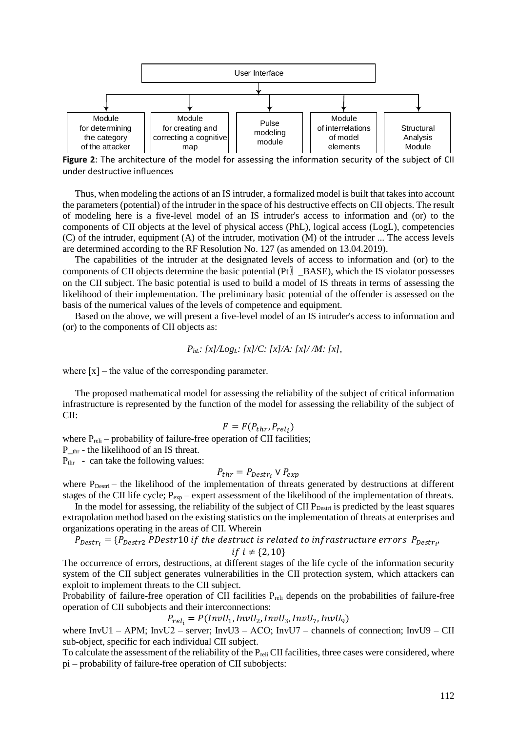

**Figure 2**: The architecture of the model for assessing the information security of the subject of CII under destructive influences

Thus, when modeling the actions of an IS intruder, a formalized model is built that takes into account the parameters (potential) of the intruder in the space of his destructive effects on CII objects. The result of modeling here is a five-level model of an IS intruder's access to information and (or) to the components of CII objects at the level of physical access (PhL), logical access (LogL), competencies (C) of the intruder, equipment (A) of the intruder, motivation (M) of the intruder ... The access levels are determined according to the RF Resolution No. 127 (as amended on 13.04.2019).

The capabilities of the intruder at the designated levels of access to information and (or) to the components of CII objects determine the basic potential (Pt〗\_BASE), which the IS violator possesses on the CII subject. The basic potential is used to build a model of IS threats in terms of assessing the likelihood of their implementation. The preliminary basic potential of the offender is assessed on the basis of the numerical values of the levels of competence and equipment.

Based on the above, we will present a five-level model of an IS intruder's access to information and (or) to the components of CII objects as:

$$
P_{hL}
$$
:  $[x]/Log_L$ :  $[x]/C$ :  $[x]/A$ :  $[x]/M$ :  $[x]$ ,

where  $[x]$  – the value of the corresponding parameter.

The proposed mathematical model for assessing the reliability of the subject of critical information infrastructure is represented by the function of the model for assessing the reliability of the subject of CII:

$$
F = F(P_{thr}, P_{rel_i})
$$

where  $P_{reli}$  – probability of failure-free operation of CII facilities;

P\_thr - the likelihood of an IS threat.

 $P_{thr}$  - can take the following values:

$$
P_{thr} = P_{Destr_i} \vee P_{exp}
$$

where P<sub>Destri</sub> – the likelihood of the implementation of threats generated by destructions at different stages of the CII life cycle;  $P_{exp}$  – expert assessment of the likelihood of the implementation of threats.

In the model for assessing, the reliability of the subject of CII  $P_{\text{Destri}}$  is predicted by the least squares extrapolation method based on the existing statistics on the implementation of threats at enterprises and organizations operating in the areas of CII. Wherein

$$
P_{\textit{Destr}_i} = \{P_{\textit{Destr2}} \: \textit{PDestr10 if the destruct is related to infrastructure errors } \: P_{\textit{Destr}_i}, \text{P}_\textit{S1} \}
$$

if 
$$
i \neq \{2, 10\}
$$

The occurrence of errors, destructions, at different stages of the life cycle of the information security system of the CII subject generates vulnerabilities in the CII protection system, which attackers can exploit to implement threats to the CII subject.

Probability of failure-free operation of CII facilities  $P_{\text{reli}}$  depends on the probabilities of failure-free operation of CII subobjects and their interconnections:

 $P_{rel_i} = P(InvU_1, InvU_2, InvU_3, InvU_7, InvU_9)$ 

where InvU1 – APM; InvU2 – server; InvU3 – ACO; InvU7 – channels of connection; InvU9 – CII sub-object, specific for each individual CII subject.

To calculate the assessment of the reliability of the P<sub>reli</sub> CII facilities, three cases were considered, where pi – probability of failure-free operation of CII subobjects: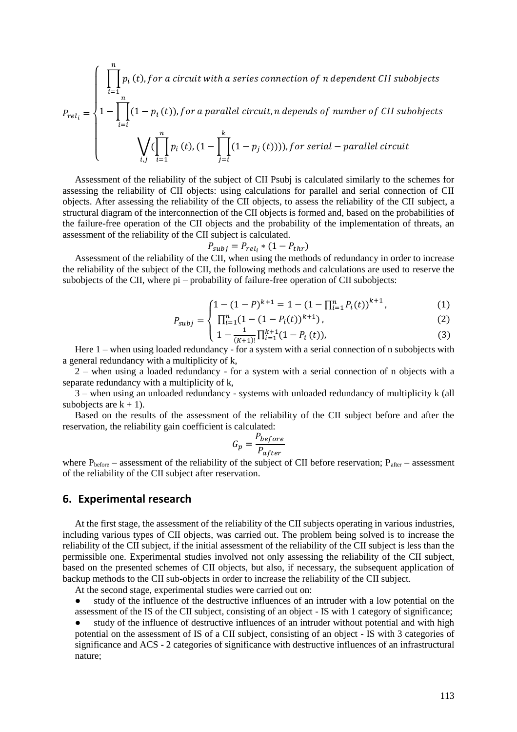$$
P_{rel_i} = \begin{cases} \n\prod_{i=1}^{n} p_i(t), \text{for a circuit with a series connection of n dependent CII subobjects} \\ \n1 - \prod_{i=1}^{n} (1 - p_i(t)), \text{for a parallel circuit, n depends of number of CII subobjects} \\ \n\bigvee_{i,j} (\prod_{i=1}^{n} p_i(t), (1 - \prod_{j=i}^{k} (1 - p_j(t))))), \text{for serial - parallel circuit} \n\end{cases}
$$

Assessment of the reliability of the subject of CII Psubj is calculated similarly to the schemes for assessing the reliability of CII objects: using calculations for parallel and serial connection of CII objects. After assessing the reliability of the CII objects, to assess the reliability of the CII subject, a structural diagram of the interconnection of the CII objects is formed and, based on the probabilities of the failure-free operation of the CII objects and the probability of the implementation of threats, an assessment of the reliability of the CII subject is calculated.

$$
P_{subj} = P_{rel_i} * (1 - P_{thr})
$$

Assessment of the reliability of the CII, when using the methods of redundancy in order to increase the reliability of the subject of the CII, the following methods and calculations are used to reserve the subobjects of the CII, where pi – probability of failure-free operation of CII subobjects:

$$
\left(1 - (1 - P)^{k+1} = 1 - (1 - \prod_{i=1}^{n} P_i(t))^{k+1}\right),\tag{1}
$$

$$
P_{subj} = \begin{cases} \prod_{i=1}^{n} (1 - (1 - P_i(t))^{k+1}), \\ 1 - \frac{1}{(k+1)!} \prod_{i=1}^{k+1} (1 - P_i(t)), \end{cases}
$$
(2)

{ (+1)! =1 Here 1 – when using loaded redundancy - for a system with a serial connection of n subobjects with

a general redundancy with a multiplicity of k, 2 – when using a loaded redundancy - for a system with a serial connection of n objects with a

separate redundancy with a multiplicity of k,

3 – when using an unloaded redundancy - systems with unloaded redundancy of multiplicity k (all subobjects are  $k + 1$ ).

Based on the results of the assessment of the reliability of the CII subject before and after the reservation, the reliability gain coefficient is calculated:

$$
G_p = \frac{P_{before}}{P_{after}}
$$

where  $P_{before}$  – assessment of the reliability of the subject of CII before reservation;  $P_{after}$  – assessment of the reliability of the CII subject after reservation.

#### **6. Experimental research**

At the first stage, the assessment of the reliability of the CII subjects operating in various industries, including various types of CII objects, was carried out. The problem being solved is to increase the reliability of the CII subject, if the initial assessment of the reliability of the CII subject is less than the permissible one. Experimental studies involved not only assessing the reliability of the CII subject, based on the presented schemes of CII objects, but also, if necessary, the subsequent application of backup methods to the CII sub-objects in order to increase the reliability of the CII subject.

At the second stage, experimental studies were carried out on:

study of the influence of the destructive influences of an intruder with a low potential on the assessment of the IS of the CII subject, consisting of an object - IS with 1 category of significance;

study of the influence of destructive influences of an intruder without potential and with high potential on the assessment of IS of a CII subject, consisting of an object - IS with 3 categories of significance and ACS - 2 categories of significance with destructive influences of an infrastructural nature;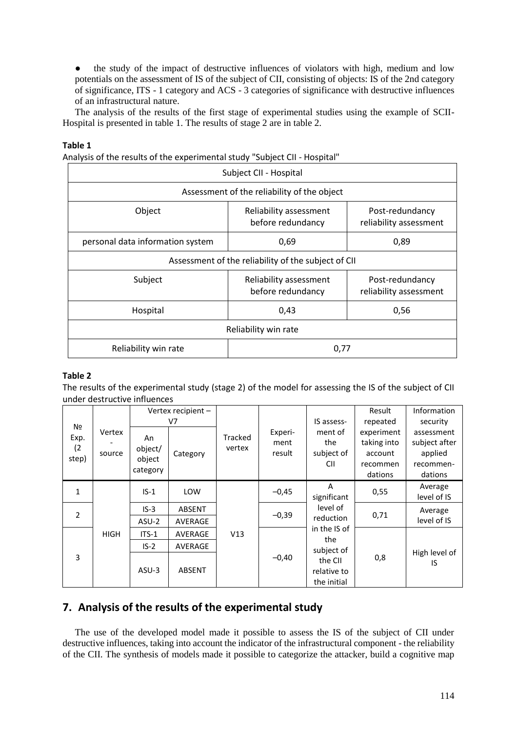● the study of the impact of destructive influences of violators with high, medium and low potentials on the assessment of IS of the subject of CII, consisting of objects: IS of the 2nd category of significance, ITS - 1 category and ACS - 3 categories of significance with destructive influences of an infrastructural nature.

The analysis of the results of the first stage of experimental studies using the example of SCII-Hospital is presented in table 1. The results of stage 2 are in table 2.

#### **Table 1**

Analysis of the results of the experimental study "Subject CII - Hospital"

| Subject CII - Hospital                              |                                             |                                           |  |  |  |  |  |  |
|-----------------------------------------------------|---------------------------------------------|-------------------------------------------|--|--|--|--|--|--|
| Assessment of the reliability of the object         |                                             |                                           |  |  |  |  |  |  |
| Object                                              | Reliability assessment<br>before redundancy | Post-redundancy<br>reliability assessment |  |  |  |  |  |  |
| personal data information system                    | 0,69                                        | 0,89                                      |  |  |  |  |  |  |
| Assessment of the reliability of the subject of CII |                                             |                                           |  |  |  |  |  |  |
| Subject                                             | Reliability assessment<br>before redundancy | Post-redundancy<br>reliability assessment |  |  |  |  |  |  |
| Hospital                                            | 0,43                                        | 0,56                                      |  |  |  |  |  |  |
| Reliability win rate                                |                                             |                                           |  |  |  |  |  |  |
| Reliability win rate                                | 0,77                                        |                                           |  |  |  |  |  |  |

#### **Table 2**

The results of the experimental study (stage 2) of the model for assessing the IS of the subject of CII under destructive influences

| N <sub>2</sub><br>Exp.<br>(2)<br>step) | Vertex<br>source |                                     | Vertex recipient -<br>V7 |                   | Experi-<br>ment<br>result | IS assess-<br>ment of<br>the<br>subject of<br><b>CII</b>           | Result<br>repeated                                          | Information<br>security                                        |
|----------------------------------------|------------------|-------------------------------------|--------------------------|-------------------|---------------------------|--------------------------------------------------------------------|-------------------------------------------------------------|----------------------------------------------------------------|
|                                        |                  | An<br>object/<br>object<br>category | Category                 | Tracked<br>vertex |                           |                                                                    | experiment<br>taking into<br>account<br>recommen<br>dations | assessment<br>subject after<br>applied<br>recommen-<br>dations |
| $\mathbf{1}$                           | <b>HIGH</b>      | $IS-1$                              | <b>LOW</b>               | V13               | $-0,45$                   | A<br>significant                                                   | 0,55                                                        | Average<br>level of IS                                         |
| $\overline{2}$                         |                  | $IS-3$<br>ASU-2                     | <b>ABSENT</b><br>AVERAGE |                   | $-0,39$                   | level of<br>0,71<br>reduction<br>in the IS of<br>the<br>subject of |                                                             | Average<br>level of IS                                         |
| 3                                      |                  | $ITS-1$<br>$IS-2$                   | AVERAGE<br>AVERAGE       |                   | $-0,40$                   |                                                                    |                                                             | High level of<br>1S                                            |
|                                        |                  | $ASU-3$                             | <b>ABSENT</b>            |                   |                           | the CII<br>relative to<br>the initial                              | 0,8                                                         |                                                                |

## **7. Analysis of the results of the experimental study**

The use of the developed model made it possible to assess the IS of the subject of CII under destructive influences, taking into account the indicator of the infrastructural component - the reliability of the CII. The synthesis of models made it possible to categorize the attacker, build a cognitive map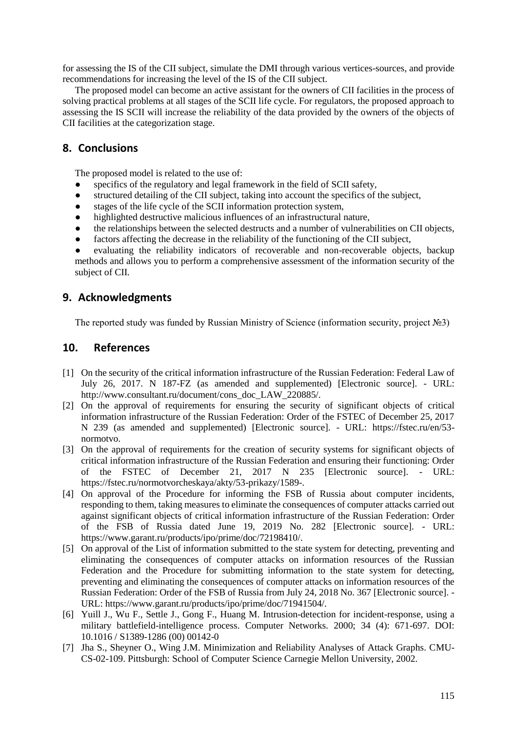for assessing the IS of the CII subject, simulate the DMI through various vertices-sources, and provide recommendations for increasing the level of the IS of the CII subject.

The proposed model can become an active assistant for the owners of CII facilities in the process of solving practical problems at all stages of the SCII life cycle. For regulators, the proposed approach to assessing the IS SCII will increase the reliability of the data provided by the owners of the objects of CII facilities at the categorization stage.

## **8. Conclusions**

The proposed model is related to the use of:

- specifics of the regulatory and legal framework in the field of SCII safety,
- structured detailing of the CII subject, taking into account the specifics of the subject,
- stages of the life cycle of the SCII information protection system,
- highlighted destructive malicious influences of an infrastructural nature,
- the relationships between the selected destructs and a number of vulnerabilities on CII objects,
- factors affecting the decrease in the reliability of the functioning of the CII subject,
- evaluating the reliability indicators of recoverable and non-recoverable objects, backup methods and allows you to perform a comprehensive assessment of the information security of the subject of CII.

## **9. Acknowledgments**

The reported study was funded by Russian Ministry of Science (information security, project №3)

## **10. References**

- [1] On the security of the critical information infrastructure of the Russian Federation: Federal Law of July 26, 2017. N 187-FZ (as amended and supplemented) [Electronic source]. - URL: http://www.consultant.ru/document/cons\_doc\_LAW\_220885/.
- [2] On the approval of requirements for ensuring the security of significant objects of critical information infrastructure of the Russian Federation: Order of the FSTEC of December 25, 2017 N 239 (as amended and supplemented) [Electronic source]. - URL: https://fstec.ru/en/53 normotvo.
- [3] On the approval of requirements for the creation of security systems for significant objects of critical information infrastructure of the Russian Federation and ensuring their functioning: Order of the FSTEC of December 21, 2017 N 235 [Electronic source]. - URL: https://fstec.ru/normotvorcheskaya/akty/53-prikazy/1589-.
- [4] On approval of the Procedure for informing the FSB of Russia about computer incidents, responding to them, taking measures to eliminate the consequences of computer attacks carried out against significant objects of critical information infrastructure of the Russian Federation: Order of the FSB of Russia dated June 19, 2019 No. 282 [Electronic source]. - URL: https://www.garant.ru/products/ipo/prime/doc/72198410/.
- [5] On approval of the List of information submitted to the state system for detecting, preventing and eliminating the consequences of computer attacks on information resources of the Russian Federation and the Procedure for submitting information to the state system for detecting, preventing and eliminating the consequences of computer attacks on information resources of the Russian Federation: Order of the FSB of Russia from July 24, 2018 No. 367 [Electronic source]. - URL: https://www.garant.ru/products/ipo/prime/doc/71941504/.
- [6] Yuill J., Wu F., Settle J., Gong F., Huang M. Intrusion-detection for incident-response, using a military battlefield-intelligence process. Computer Networks. 2000; 34 (4): 671-697. DOI: 10.1016 / S1389-1286 (00) 00142-0
- [7] Jha S., Sheyner O., Wing J.M. Minimization and Reliability Analyses of Attack Graphs. CMU-CS-02-109. Pittsburgh: School of Computer Science Carnegie Mellon University, 2002.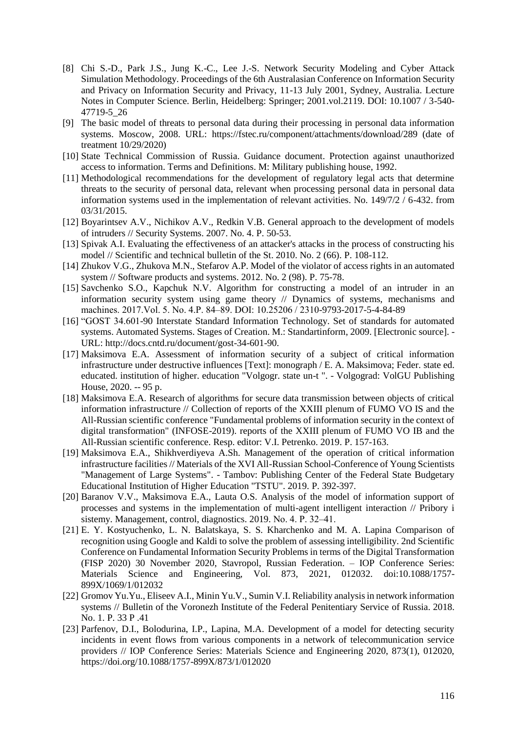- [8] Chi S.-D., Park J.S., Jung K.-C., Lee J.-S. Network Security Modeling and Cyber Attack Simulation Methodology. Proceedings of the 6th Australasian Conference on Information Security and Privacy on Information Security and Privacy, 11-13 July 2001, Sydney, Australia. Lecture Notes in Computer Science. Berlin, Heidelberg: Springer; 2001.vol.2119. DOI: 10.1007 / 3-540- 47719-5\_26
- [9] The basic model of threats to personal data during their processing in personal data information systems. Moscow, 2008. URL: https://fstec.ru/component/attachments/download/289 (date of treatment 10/29/2020)
- [10] State Technical Commission of Russia. Guidance document. Protection against unauthorized access to information. Terms and Definitions. M: Military publishing house, 1992.
- [11] Methodological recommendations for the development of regulatory legal acts that determine threats to the security of personal data, relevant when processing personal data in personal data information systems used in the implementation of relevant activities. No. 149/7/2 / 6-432. from 03/31/2015.
- [12] Boyarintsev A.V., Nichikov A.V., Redkin V.B. General approach to the development of models of intruders // Security Systems. 2007. No. 4. P. 50-53.
- [13] Spivak A.I. Evaluating the effectiveness of an attacker's attacks in the process of constructing his model // Scientific and technical bulletin of the St. 2010. No. 2 (66). P. 108-112.
- [14] Zhukov V.G., Zhukova M.N., Stefarov A.P. Model of the violator of access rights in an automated system // Software products and systems. 2012. No. 2 (98). P. 75-78.
- [15] Savchenko S.O., Kapchuk N.V. Algorithm for constructing a model of an intruder in an information security system using game theory // Dynamics of systems, mechanisms and machines. 2017.Vol. 5. No. 4.P. 84‒89. DOI: 10.25206 / 2310-9793-2017-5-4-84-89
- [16] "GOST 34.601-90 Interstate Standard Information Technology. Set of standards for automated systems. Automated Systems. Stages of Creation. M.: Standartinform, 2009. [Electronic source]. - URL: http://docs.cntd.ru/document/gost-34-601-90.
- [17] Maksimova E.A. Assessment of information security of a subject of critical information infrastructure under destructive influences [Text]: monograph / E. A. Maksimova; Feder. state ed. educated. institution of higher. education "Volgogr. state un-t ". - Volgograd: VolGU Publishing House, 2020. -- 95 p.
- [18] Maksimova E.A. Research of algorithms for secure data transmission between objects of critical information infrastructure // Collection of reports of the XXIII plenum of FUMO VO IS and the All-Russian scientific conference "Fundamental problems of information security in the context of digital transformation" (INFOSE-2019). reports of the XXIII plenum of FUMO VO IB and the All-Russian scientific conference. Resp. editor: V.I. Petrenko. 2019. P. 157-163.
- [19] Maksimova E.A., Shikhverdiyeva A.Sh. Management of the operation of critical information infrastructure facilities // Materials of the XVI All-Russian School-Conference of Young Scientists "Management of Large Systems". - Tambov: Publishing Center of the Federal State Budgetary Educational Institution of Higher Education "TSTU". 2019. P. 392-397.
- [20] Baranov V.V., Maksimova E.A., Lauta O.S. Analysis of the model of information support of processes and systems in the implementation of multi-agent intelligent interaction // Pribory i sistemy. Management, control, diagnostics. 2019. No. 4. P. 32–41.
- [21] E. Y. Kostyuchenko, L. N. Balatskaya, S. S. Kharchenko and M. A. Lapina Comparison of recognition using Google and Kaldi to solve the problem of assessing intelligibility. 2nd Scientific Conference on Fundamental Information Security Problems in terms of the Digital Transformation (FISP 2020) 30 November 2020, Stavropol, Russian Federation. – IOP Conference Series: Materials Science and Engineering, Vol. 873, 2021, 012032. doi:10.1088/1757- 899X/1069/1/012032
- [22] Gromov Yu.Yu., Eliseev A.I., Minin Yu.V., Sumin V.I. Reliability analysis in network information systems // Bulletin of the Voronezh Institute of the Federal Penitentiary Service of Russia. 2018. No. 1. P. 33 P .41
- [23] Parfenov, D.I., Bolodurina, I.P., Lapina, M.A. Development of a model for detecting security incidents in event flows from various components in a network of telecommunication service providers // IOP Conference Series: Materials Science and Engineering 2020, 873(1), 012020, <https://doi.org/10.1088/1757-899X/873/1/012020>